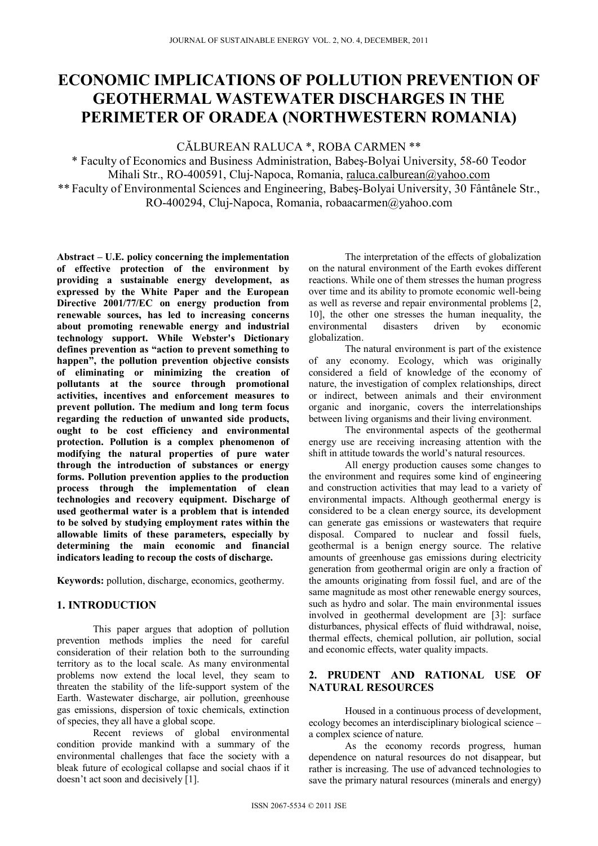# **ECONOMIC IMPLICATIONS OF POLLUTION PREVENTION OF GEOTHERMAL WASTEWATER DISCHARGES IN THE PERIMETER OF ORADEA (NORTHWESTERN ROMANIA)**

# CĂLBUREAN RALUCA \*, ROBA CARMEN \*\*

\* Faculty of Economics and Business Administration, Babeş-Bolyai University, 58-60 Teodor Mihali Str., RO-400591, Cluj-Napoca, Romania, raluca.calburean@yahoo.com \*\* Faculty of Environmental Sciences and Engineering, Babeş-Bolyai University, 30 Fântânele Str., RO-400294, Cluj-Napoca, Romania, robaacarmen@yahoo.com

**Abstract – U.E. policy concerning the implementation of effective protection of the environment by providing a sustainable energy development, as expressed by the White Paper and the European Directive 2001/77/EC on energy production from renewable sources, has led to increasing concerns about promoting renewable energy and industrial technology support. While Webster's Dictionary defines prevention as "action to prevent something to happen", the pollution prevention objective consists of eliminating or minimizing the creation of pollutants at the source through promotional activities, incentives and enforcement measures to prevent pollution. The medium and long term focus regarding the reduction of unwanted side products, ought to be cost efficiency and environmental protection. Pollution is a complex phenomenon of modifying the natural properties of pure water through the introduction of substances or energy forms. Pollution prevention applies to the production process through the implementation of clean technologies and recovery equipment. Discharge of used geothermal water is a problem that is intended to be solved by studying employment rates within the allowable limits of these parameters, especially by determining the main economic and financial indicators leading to recoup the costs of discharge.** 

**Keywords:** pollution, discharge, economics, geothermy.

## **1. INTRODUCTION**

 This paper argues that adoption of pollution prevention methods implies the need for careful consideration of their relation both to the surrounding territory as to the local scale. As many environmental problems now extend the local level, they seam to threaten the stability of the life-support system of the Earth. Wastewater discharge, air pollution, greenhouse gas emissions, dispersion of toxic chemicals, extinction of species, they all have a global scope.

 Recent reviews of global environmental condition provide mankind with a summary of the environmental challenges that face the society with a bleak future of ecological collapse and social chaos if it doesn't act soon and decisively [1].

 The interpretation of the effects of globalization on the natural environment of the Earth evokes different reactions. While one of them stresses the human progress over time and its ability to promote economic well-being as well as reverse and repair environmental problems [2, 10], the other one stresses the human inequality, the environmental disasters driven by economic disasters driven by economic globalization.

 The natural environment is part of the existence of any economy. Ecology, which was originally considered a field of knowledge of the economy of nature, the investigation of complex relationships, direct or indirect, between animals and their environment organic and inorganic, covers the interrelationships between living organisms and their living environment.

 The environmental aspects of the geothermal energy use are receiving increasing attention with the shift in attitude towards the world's natural resources.

 All energy production causes some changes to the environment and requires some kind of engineering and construction activities that may lead to a variety of environmental impacts. Although geothermal energy is considered to be a clean energy source, its development can generate gas emissions or wastewaters that require disposal. Compared to nuclear and fossil fuels, geothermal is a benign energy source. The relative amounts of greenhouse gas emissions during electricity generation from geothermal origin are only a fraction of the amounts originating from fossil fuel, and are of the same magnitude as most other renewable energy sources, such as hydro and solar. The main environmental issues involved in geothermal development are [3]: surface disturbances, physical effects of fluid withdrawal, noise, thermal effects, chemical pollution, air pollution, social and economic effects, water quality impacts.

## **2. PRUDENT AND RATIONAL USE OF NATURAL RESOURCES**

 Housed in a continuous process of development, ecology becomes an interdisciplinary biological science – a complex science of nature.

 As the economy records progress, human dependence on natural resources do not disappear, but rather is increasing. The use of advanced technologies to save the primary natural resources (minerals and energy)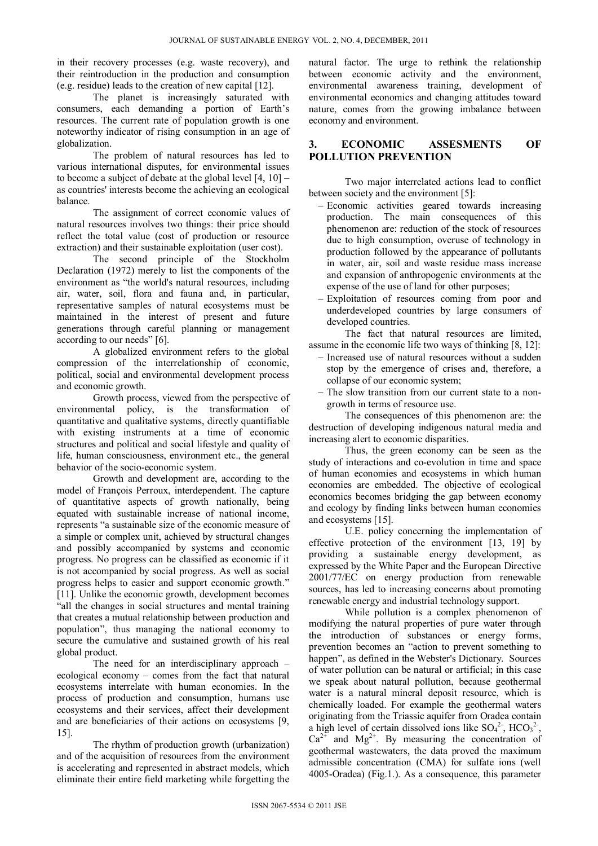in their recovery processes (e.g. waste recovery), and their reintroduction in the production and consumption (e.g. residue) leads to the creation of new capital [12].

 The planet is increasingly saturated with consumers, each demanding a portion of Earth's resources. The current rate of population growth is one noteworthy indicator of rising consumption in an age of globalization.

 The problem of natural resources has led to various international disputes, for environmental issues to become a subject of debate at the global level  $[4, 10]$  – as countries' interests become the achieving an ecological balance.

 The assignment of correct economic values of natural resources involves two things: their price should reflect the total value (cost of production or resource extraction) and their sustainable exploitation (user cost).

 The second principle of the Stockholm Declaration (1972) merely to list the components of the environment as "the world's natural resources, including air, water, soil, flora and fauna and, in particular, representative samples of natural ecosystems must be maintained in the interest of present and future generations through careful planning or management according to our needs" [6].

 A globalized environment refers to the global compression of the interrelationship of economic, political, social and environmental development process and economic growth.

 Growth process, viewed from the perspective of environmental policy, is the transformation of quantitative and qualitative systems, directly quantifiable with existing instruments at a time of economic structures and political and social lifestyle and quality of life, human consciousness, environment etc., the general behavior of the socio-economic system.

 Growth and development are, according to the model of François Perroux, interdependent. The capture of quantitative aspects of growth nationally, being equated with sustainable increase of national income, represents "a sustainable size of the economic measure of a simple or complex unit, achieved by structural changes and possibly accompanied by systems and economic progress. No progress can be classified as economic if it is not accompanied by social progress. As well as social progress helps to easier and support economic growth."

[11]. Unlike the economic growth, development becomes "all the changes in social structures and mental training that creates a mutual relationship between production and population", thus managing the national economy to secure the cumulative and sustained growth of his real global product.

 The need for an interdisciplinary approach – ecological economy – comes from the fact that natural ecosystems interrelate with human economies. In the process of production and consumption, humans use ecosystems and their services, affect their development and are beneficiaries of their actions on ecosystems [9, 15].

 The rhythm of production growth (urbanization) and of the acquisition of resources from the environment is accelerating and represented in abstract models, which eliminate their entire field marketing while forgetting the natural factor. The urge to rethink the relationship between economic activity and the environment, environmental awareness training, development of environmental economics and changing attitudes toward nature, comes from the growing imbalance between economy and environment.

## **3. ECONOMIC ASSESMENTS OF POLLUTION PREVENTION**

 Two major interrelated actions lead to conflict between society and the environment [5]:

- Economic activities geared towards increasing production. The main consequences of this phenomenon are: reduction of the stock of resources due to high consumption, overuse of technology in production followed by the appearance of pollutants in water, air, soil and waste residue mass increase and expansion of anthropogenic environments at the expense of the use of land for other purposes;
- Exploitation of resources coming from poor and underdeveloped countries by large consumers of developed countries.

 The fact that natural resources are limited, assume in the economic life two ways of thinking [8, 12]:

- Increased use of natural resources without a sudden stop by the emergence of crises and, therefore, a collapse of our economic system;
- The slow transition from our current state to a nongrowth in terms of resource use.

 The consequences of this phenomenon are: the destruction of developing indigenous natural media and increasing alert to economic disparities.

 Thus, the green economy can be seen as the study of interactions and co-evolution in time and space of human economies and ecosystems in which human economies are embedded. The objective of ecological economics becomes bridging the gap between economy and ecology by finding links between human economies and ecosystems [15].

 U.E. policy concerning the implementation of effective protection of the environment [13, 19] by providing a sustainable energy development, as expressed by the White Paper and the European Directive 2001/77/EC on energy production from renewable sources, has led to increasing concerns about promoting renewable energy and industrial technology support.

 While pollution is a complex phenomenon of modifying the natural properties of pure water through the introduction of substances or energy forms, prevention becomes an "action to prevent something to happen", as defined in the Webster's Dictionary. Sources of water pollution can be natural or artificial; in this case we speak about natural pollution, because geothermal water is a natural mineral deposit resource, which is chemically loaded. For example the geothermal waters originating from the Triassic aquifer from Oradea contain a high level of certain dissolved ions like  $SO_4^2$ <sup>2</sup>, HCO<sub>3</sub><sup>2</sup>,  $Ca^{2+}$  and  $Mg^{2+}$ . By measuring the concentration of geothermal wastewaters, the data proved the maximum admissible concentration (CMA) for sulfate ions (well 4005-Oradea) (Fig.1.). As a consequence, this parameter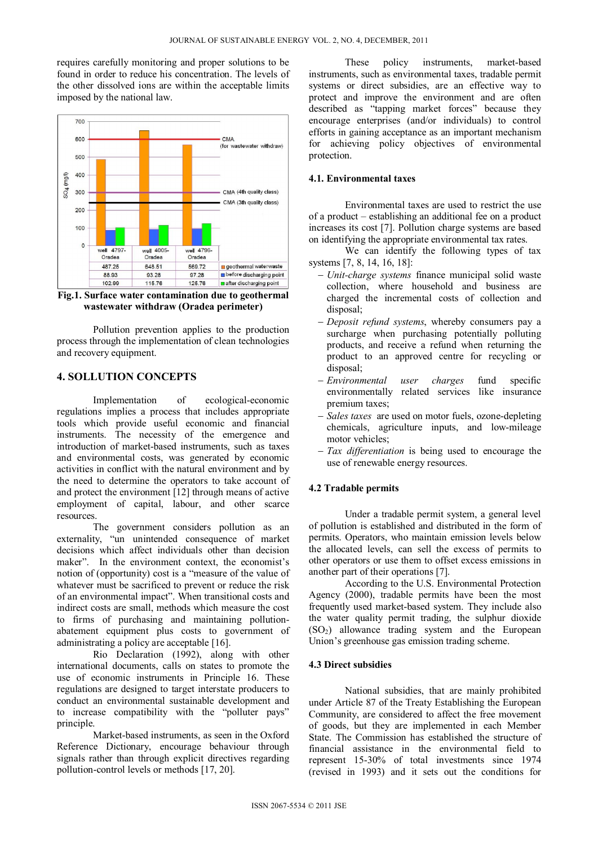requires carefully monitoring and proper solutions to be found in order to reduce his concentration. The levels of the other dissolved ions are within the acceptable limits imposed by the national law.





 Pollution prevention applies to the production process through the implementation of clean technologies and recovery equipment.

## **4. SOLLUTION CONCEPTS**

 Implementation of ecological-economic regulations implies a process that includes appropriate tools which provide useful economic and financial instruments. The necessity of the emergence and introduction of market-based instruments, such as taxes and environmental costs, was generated by economic activities in conflict with the natural environment and by the need to determine the operators to take account of and protect the environment [12] through means of active employment of capital, labour, and other scarce resources.

 The government considers pollution as an externality, "un unintended consequence of market decisions which affect individuals other than decision maker". In the environment context, the economist's notion of (opportunity) cost is a "measure of the value of whatever must be sacrificed to prevent or reduce the risk of an environmental impact". When transitional costs and indirect costs are small, methods which measure the cost to firms of purchasing and maintaining pollutionabatement equipment plus costs to government of administrating a policy are acceptable [16].

 Rio Declaration (1992), along with other international documents, calls on states to promote the use of economic instruments in Principle 16. These regulations are designed to target interstate producers to conduct an environmental sustainable development and to increase compatibility with the "polluter pays" principle.

 Market-based instruments, as seen in the Oxford Reference Dictionary, encourage behaviour through signals rather than through explicit directives regarding pollution-control levels or methods [17, 20].

These policy instruments market-based instruments, such as environmental taxes, tradable permit systems or direct subsidies, are an effective way to protect and improve the environment and are often described as "tapping market forces" because they encourage enterprises (and/or individuals) to control efforts in gaining acceptance as an important mechanism for achieving policy objectives of environmental protection.

#### **4.1. Environmental taxes**

 Environmental taxes are used to restrict the use of a product – establishing an additional fee on a product increases its cost [7]. Pollution charge systems are based on identifying the appropriate environmental tax rates.

 We can identify the following types of tax systems [7, 8, 14, 16, 18]:

- *Unit-charge systems* finance municipal solid waste collection, where household and business are charged the incremental costs of collection and disposal;
- *Deposit refund systems*, whereby consumers pay a surcharge when purchasing potentially polluting products, and receive a refund when returning the product to an approved centre for recycling or disposal;
- *Environmental user charges* fund specific environmentally related services like insurance premium taxes;
- *Sales taxes* are used on motor fuels, ozone-depleting chemicals, agriculture inputs, and low-mileage motor vehicles;
- *Tax differentiation* is being used to encourage the use of renewable energy resources.

### **4.2 Tradable permits**

 Under a tradable permit system, a general level of pollution is established and distributed in the form of permits. Operators, who maintain emission levels below the allocated levels, can sell the excess of permits to other operators or use them to offset excess emissions in another part of their operations [7].

 According to the U.S. Environmental Protection Agency (2000), tradable permits have been the most frequently used market-based system. They include also the water quality permit trading, the sulphur dioxide  $(SO<sub>2</sub>)$  allowance trading system and the European Union's greenhouse gas emission trading scheme.

## **4.3 Direct subsidies**

 National subsidies, that are mainly prohibited under Article 87 of the Treaty Establishing the European Community, are considered to affect the free movement of goods, but they are implemented in each Member State. The Commission has established the structure of financial assistance in the environmental field to represent 15-30% of total investments since 1974 (revised in 1993) and it sets out the conditions for